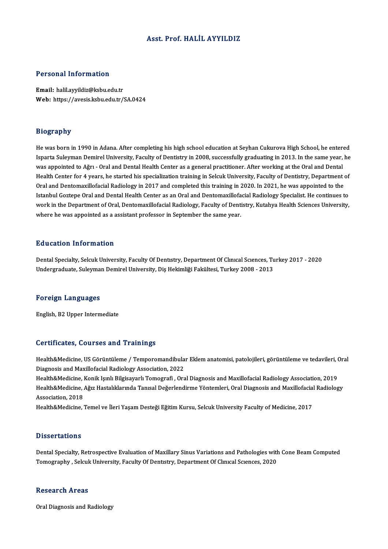# Asst. Prof.HALİL AYYILDIZ

# Personal Information

Email: halil.ayyildiz@ksbu.edu.tr Web: https://avesis.ksbu.edu.tr/SA.0424

### Biography

He was born in 1990 in Adana. After completing his high school education at Seyhan Cukurova High School, he entered Isparta Suleyman Demirel University, Faculty of Dentistry in 2008, successfully graduating in 2013. In the same year, he was appointed to Ağrı - Oral and Dental Health Center as a general practitioner. After working at the Oral and Dental Isparta Suleyman Demirel University, Faculty of Dentistry in 2008, successfully graduating in 2013. In the same year, he<br>was appointed to Ağrı - Oral and Dental Health Center as a general practitioner. After working at the was appointed to Ağrı - Oral and Dental Health Center as a general practitioner. After working at the Oral and Dental<br>Health Center for 4 years, he started his specialization training in Selcuk University, Faculty of Denti Health Center for 4 years, he started his specialization training in Selcuk University, Faculty of Dentistry, Department of<br>Oral and Dentomaxillofacial Radiology in 2017 and completed this training in 2020. In 2021, he was Oral and Dentomaxillofacial Radiology in 2017 and completed this training in 2020. In 2021, he was appointed to the Istanbul Goztepe Oral and Dental Health Center as an Oral and Dentomaxillofacial Radiology Specialist. He Istanbul Goztepe Oral and Dental Health Center as an Oral and Dentomaxillofacial Radiology Specialist. He continues to

### Education Information

Dental Specialty, Selcuk University, Faculty Of Dentistry, Department Of Clinical Sciences, Turkey 2017 - 2020 Undergraduate, Suleyman Demirel University, Diş Hekimliği Fakültesi, Turkey 2008 - 2013

### Foreign Languages

English,B2Upper Intermediate

### Certificates, Courses and Trainings

Certificates, Courses and Trainings<br>Health&Medicine, US Görüntüleme / Temporomandibular Eklem anatomisi, patolojileri, görüntüleme ve tedavileri, Oral<br>Diagnesis and Mavillefasial Padielegy Association 2022 Der erredeels, dout bestand af ammings<br>Health&Medicine, US Görüntüleme / Temporomandibula<br>Diagnosis and Maxillofacial Radiology Association, 2022<br>Health&Medicine, Kanik Jamh Bilgissyork Temperati, Ora Health&Medicine, US Görüntüleme / Temporomandibular Eklem anatomisi, patolojileri, görüntüleme ve tedavileri, (<br>Diagnosis and Maxillofacial Radiology Association, 2022<br>Health&Medicine, Konik Işınlı Bilgisayarlı Tomografi ,

Diagnosis and Maxillofacial Radiology Association, 2022<br>Health&Medicine, Konik Işınlı Bilgisayarlı Tomografi , Oral Diagnosis and Maxillofacial Radiology Association, 2019<br>Health&Medicine, Ağız Hastalıklarında Tanısal Değe Health&Medicine, |<br>Health&Medicine, ,<br>Association, 2018<br>Health&Medicine Health&Medicine, Ağız Hastalıklarında Tanısal Değerlendirme Yöntemleri, Oral Diagnosis and Maxillofacia.<br>Association, 2018<br>Health&Medicine, Temel ve İleri Yaşam Desteği Eğitim Kursu, Selcuk University Faculty of Medicine,

Health&Medicine, Temel ve İleri Yaşam Desteği Eğitim Kursu, Selcuk University Faculty of Medicine, 2017<br>-<br>Dissertations

Dissertations<br>Dental Specialty, Retrospective Evaluation of Maxillary Sinus Variations and Pathologies with Cone Beam Computed<br>Temegraphy, Selevit University Faculty Of Dentstry, Department Of Cluyel Sciences 2020 D'ISSOT CALIOTIS<br>Dental Specialty, Retrospective Evaluation of Maxillary Sinus Variations and Pathologies with<br>Tomography , Selcuk University, Faculty Of Dentistry, Department Of Clinical Sciences, 2020 Tomography , Selcuk University, Faculty Of Dentistry, Department Of Clinical Sciences, 2020<br>Research Areas

Oral Diagnosis and Radiology